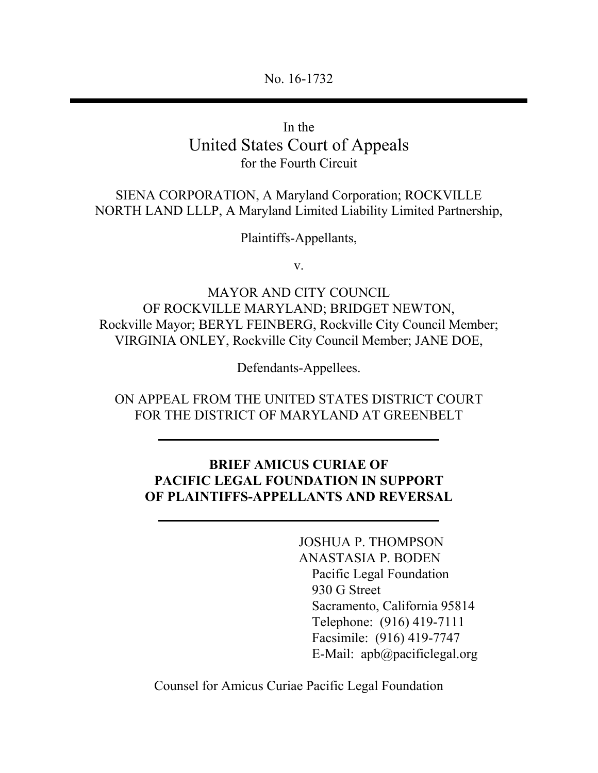No. 16-1732

In the United States Court of Appeals for the Fourth Circuit

SIENA CORPORATION, A Maryland Corporation; ROCKVILLE NORTH LAND LLLP, A Maryland Limited Liability Limited Partnership,

Plaintiffs-Appellants,

v.

MAYOR AND CITY COUNCIL OF ROCKVILLE MARYLAND; BRIDGET NEWTON, Rockville Mayor; BERYL FEINBERG, Rockville City Council Member; VIRGINIA ONLEY, Rockville City Council Member; JANE DOE,

Defendants-Appellees.

ON APPEAL FROM THE UNITED STATES DISTRICT COURT FOR THE DISTRICT OF MARYLAND AT GREENBELT

#### **BRIEF AMICUS CURIAE OF PACIFIC LEGAL FOUNDATION IN SUPPORT OF PLAINTIFFS-APPELLANTS AND REVERSAL**

JOSHUA P. THOMPSON ANASTASIA P. BODEN Pacific Legal Foundation 930 G Street Sacramento, California 95814 Telephone: (916) 419-7111 Facsimile: (916) 419-7747 E-Mail: apb@pacificlegal.org

Counsel for Amicus Curiae Pacific Legal Foundation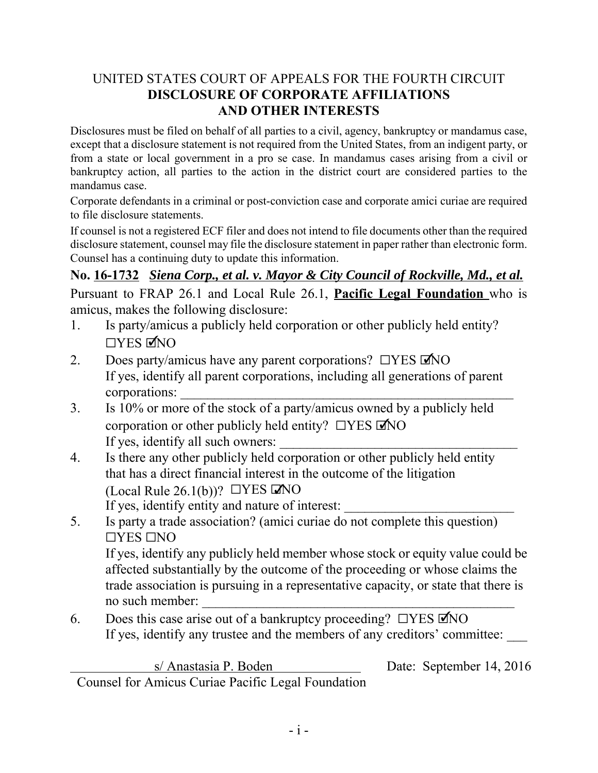### UNITED STATES COURT OF APPEALS FOR THE FOURTH CIRCUIT **DISCLOSURE OF CORPORATE AFFILIATIONS AND OTHER INTERESTS**

Disclosures must be filed on behalf of all parties to a civil, agency, bankruptcy or mandamus case, except that a disclosure statement is not required from the United States, from an indigent party, or from a state or local government in a pro se case. In mandamus cases arising from a civil or bankruptcy action, all parties to the action in the district court are considered parties to the mandamus case.

Corporate defendants in a criminal or post-conviction case and corporate amici curiae are required to file disclosure statements.

If counsel is not a registered ECF filer and does not intend to file documents other than the required disclosure statement, counsel may file the disclosure statement in paper rather than electronic form. Counsel has a continuing duty to update this information.

**No. 16-1732** *Siena Corp., et al. v. Mayor & City Council of Rockville, Md., et al.* Pursuant to FRAP 26.1 and Local Rule 26.1, **Pacific Legal Foundation** who is amicus, makes the following disclosure:

- 1. Is party/amicus a publicly held corporation or other publicly held entity?  $\Box$ YES MNO
- 2. Does party/amicus have any parent corporations?  $\Box$ YES  $\Box$ NO If yes, identify all parent corporations, including all generations of parent corporations:
- 3. Is 10% or more of the stock of a party/amicus owned by a publicly held corporation or other publicly held entity?  $\Box$ YES  $\Box$ NO If yes, identify all such owners:
- 4. Is there any other publicly held corporation or other publicly held entity that has a direct financial interest in the outcome of the litigation (Local Rule 26.1(b))?  $\Box$ YES MO If yes, identify entity and nature of interest:
- 5. Is party a trade association? (amici curiae do not complete this question)  $\Box$ YES  $\Box$ NO If yes, identify any publicly held member whose stock or equity value could be affected substantially by the outcome of the proceeding or whose claims the trade association is pursuing in a representative capacity, or state that there is no such member:
- 6. Does this case arise out of a bankruptcy proceeding?  $\Box$ YES  $\Box$ NO If yes, identify any trustee and the members of any creditors' committee:

s/ Anastasia P. Boden Date: September 14, 2016 Counsel for Amicus Curiae Pacific Legal Foundation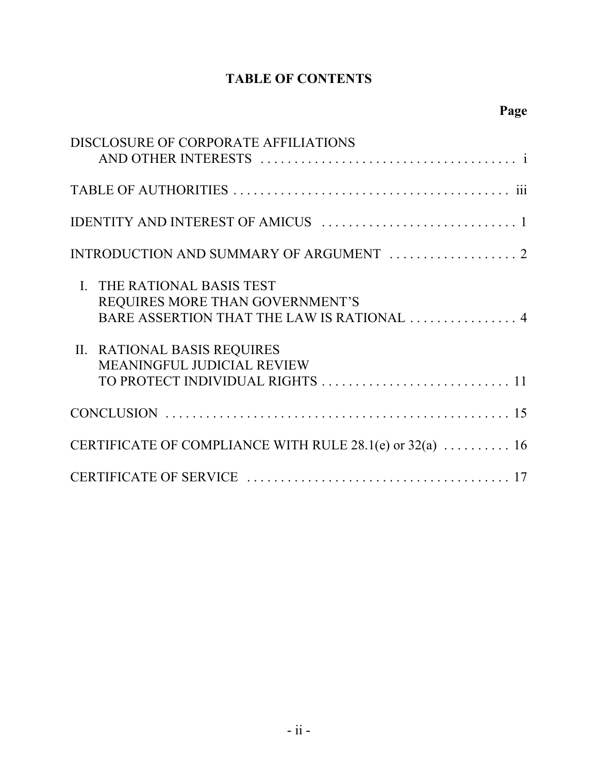## **TABLE OF CONTENTS**

| DISCLOSURE OF CORPORATE AFFILIATIONS                                                                        |
|-------------------------------------------------------------------------------------------------------------|
|                                                                                                             |
|                                                                                                             |
|                                                                                                             |
| I. THE RATIONAL BASIS TEST<br>REQUIRES MORE THAN GOVERNMENT'S<br>BARE ASSERTION THAT THE LAW IS RATIONAL  4 |
| II. RATIONAL BASIS REQUIRES<br><b>MEANINGFUL JUDICIAL REVIEW</b>                                            |
|                                                                                                             |
| CERTIFICATE OF COMPLIANCE WITH RULE 28.1(e) or 32(a)  16                                                    |
|                                                                                                             |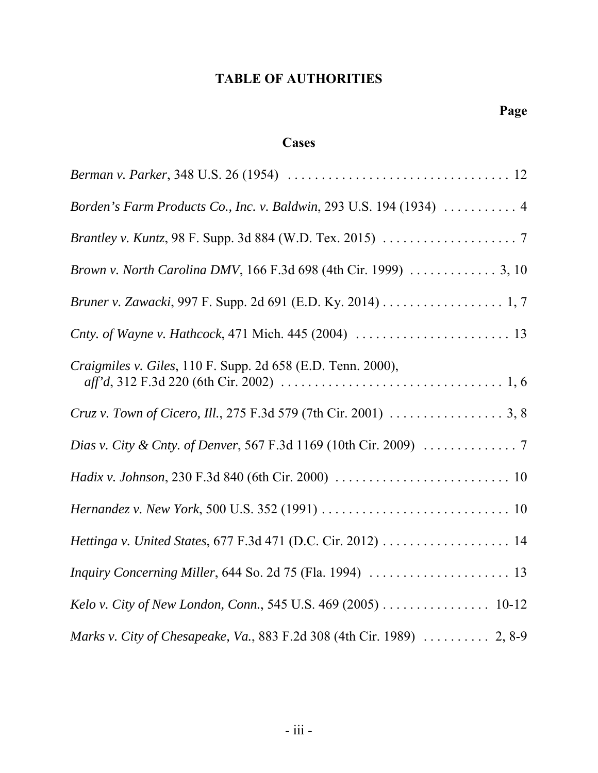## **TABLE OF AUTHORITIES**

## **Cases**

| <i>Berman v. Parker</i> , 348 U.S. 26 (1954) $\ldots \ldots \ldots \ldots \ldots \ldots \ldots \ldots \ldots \ldots \ldots \ldots$ |
|------------------------------------------------------------------------------------------------------------------------------------|
| Borden's Farm Products Co., Inc. v. Baldwin, 293 U.S. 194 (1934)  4                                                                |
|                                                                                                                                    |
| Brown v. North Carolina DMV, 166 F.3d 698 (4th Cir. 1999)  3, 10                                                                   |
|                                                                                                                                    |
|                                                                                                                                    |
| Craigmiles v. Giles, 110 F. Supp. 2d 658 (E.D. Tenn. 2000),                                                                        |
|                                                                                                                                    |
|                                                                                                                                    |
|                                                                                                                                    |
|                                                                                                                                    |
|                                                                                                                                    |
|                                                                                                                                    |
|                                                                                                                                    |
| Marks v. City of Chesapeake, Va., 883 F.2d 308 (4th Cir. 1989)  2, 8-9                                                             |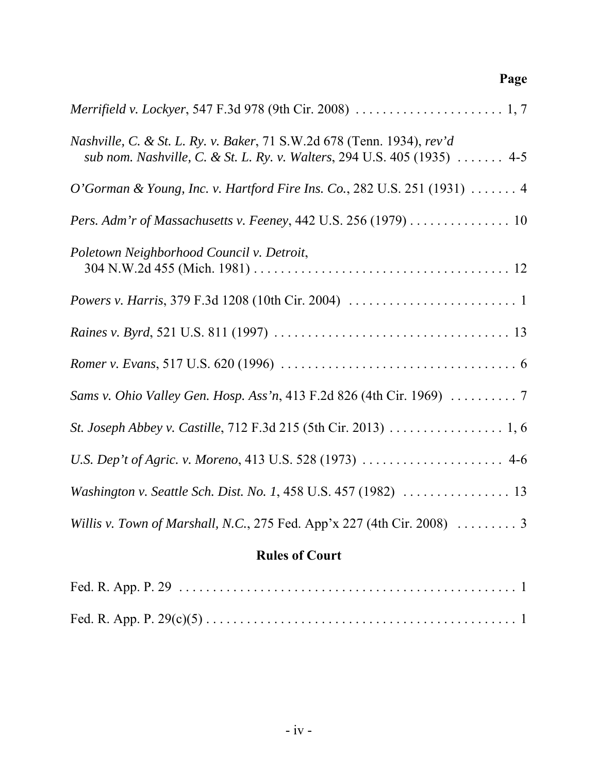# *Merrifield v. Lockyer*, 547 F.3d 978 (9th Cir. 2008) ...................... 1, 7 *Nashville, C. & St. L. Ry. v. Baker*, 71 S.W.2d 678 (Tenn. 1934), *rev'd sub nom. Nashville, C. & St. L. Ry. v. Walters*, 294 U.S. 405 (1935) . . . . . . . 4-5 *O'Gorman & Young, Inc. v. Hartford Fire Ins. Co.*, 282 U.S. 251 (1931) .......4 *Pers. Adm'r of Massachusetts v. Feeney*, 442 U.S. 256 (1979) . . . . . . . . . . . . . . . 10 *Poletown Neighborhood Council v. Detroit*, 304 N.W.2d 455 (Mich. 1981) . . . . . . . . . . . . . . . . . . . . . . . . . . . . . . . . . . . . . . 12 *Powers v. Harris*, 379 F.3d 1208 (10th Cir. 2004) .........................1 *Raines v. Byrd*, 521 U.S. 811 (1997) . . . . . . . . . . . . . . . . . . . . . . . . . . . . . . . . . . . 13 *Romer v. Evans*, 517 U.S. 620 (1996) ...................................6 *Sams v. Ohio Valley Gen. Hosp. Ass'n*, 413 F.2d 826 (4th Cir. 1969) ..........7 *St. Joseph Abbey v. Castille*, 712 F.3d 215 (5th Cir. 2013) ................. 1, 6 *U.S. Dep't of Agric. v. Moreno*, 413 U.S. 528 (1973) . . . . . . . . . . . . . . . . . . . . . 4-6 *Washington v. Seattle Sch. Dist. No. 1*, 458 U.S. 457 (1982) . . . . . . . . . . . . . . . . 13 *Willis v. Town of Marshall, N.C.*, 275 Fed. App'x 227 (4th Cir. 2008)  $\ldots \ldots \ldots$  3

**Page**

#### **Rules of Court**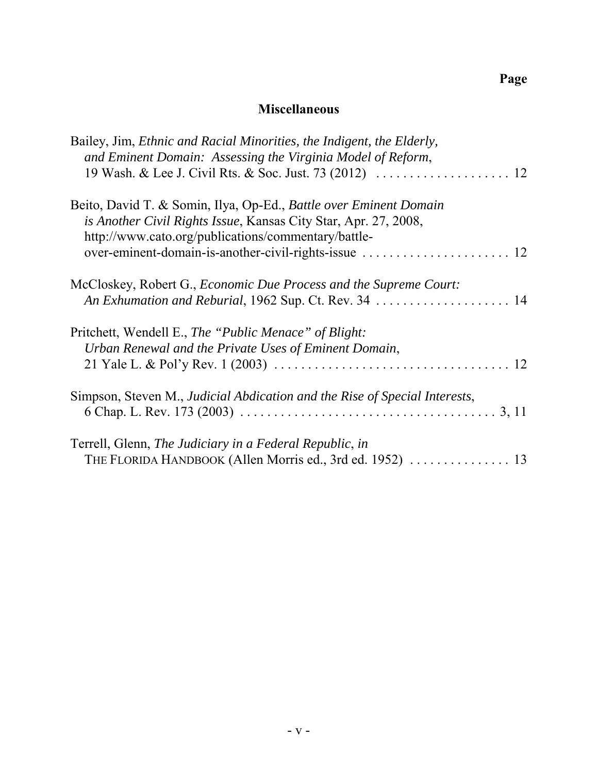### **Miscellaneous**

| Bailey, Jim, <i>Ethnic and Racial Minorities</i> , the Indigent, the Elderly,<br>and Eminent Domain: Assessing the Virginia Model of Reform,                                                |  |
|---------------------------------------------------------------------------------------------------------------------------------------------------------------------------------------------|--|
| Beito, David T. & Somin, Ilya, Op-Ed., Battle over Eminent Domain<br>is Another Civil Rights Issue, Kansas City Star, Apr. 27, 2008,<br>http://www.cato.org/publications/commentary/battle- |  |
| McCloskey, Robert G., <i>Economic Due Process and the Supreme Court</i> :<br>An Exhumation and Reburial, 1962 Sup. Ct. Rev. 34  14                                                          |  |
| Pritchett, Wendell E., The "Public Menace" of Blight:<br>Urban Renewal and the Private Uses of Eminent Domain,                                                                              |  |
| Simpson, Steven M., Judicial Abdication and the Rise of Special Interests,                                                                                                                  |  |
| Terrell, Glenn, The Judiciary in a Federal Republic, in                                                                                                                                     |  |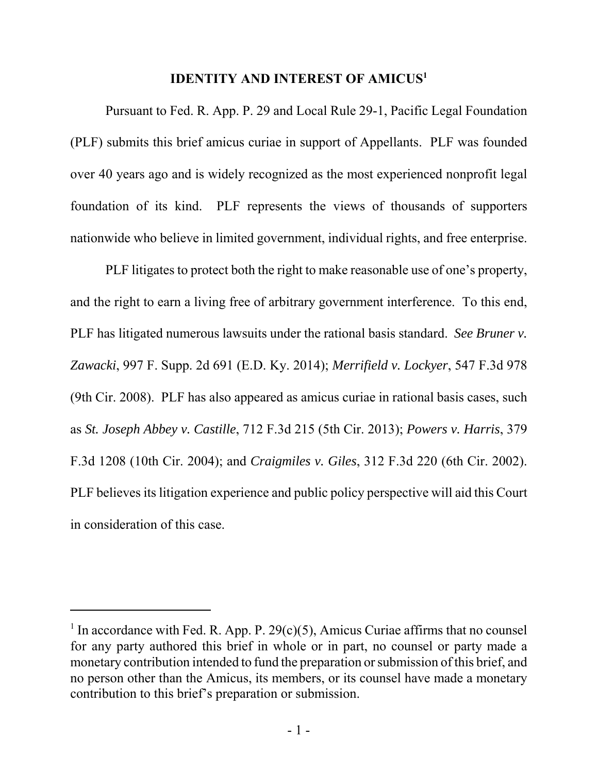#### **IDENTITY AND INTEREST OF AMICUS<sup>1</sup>**

Pursuant to Fed. R. App. P. 29 and Local Rule 29-1, Pacific Legal Foundation (PLF) submits this brief amicus curiae in support of Appellants. PLF was founded over 40 years ago and is widely recognized as the most experienced nonprofit legal foundation of its kind. PLF represents the views of thousands of supporters nationwide who believe in limited government, individual rights, and free enterprise.

PLF litigates to protect both the right to make reasonable use of one's property, and the right to earn a living free of arbitrary government interference. To this end, PLF has litigated numerous lawsuits under the rational basis standard. *See Bruner v. Zawacki*, 997 F. Supp. 2d 691 (E.D. Ky. 2014); *Merrifield v. Lockyer*, 547 F.3d 978 (9th Cir. 2008). PLF has also appeared as amicus curiae in rational basis cases, such as *St. Joseph Abbey v. Castille*, 712 F.3d 215 (5th Cir. 2013); *Powers v. Harris*, 379 F.3d 1208 (10th Cir. 2004); and *Craigmiles v. Giles*, 312 F.3d 220 (6th Cir. 2002). PLF believes its litigation experience and public policy perspective will aid this Court in consideration of this case.

<sup>&</sup>lt;sup>1</sup> In accordance with Fed. R. App. P. 29(c)(5), Amicus Curiae affirms that no counsel for any party authored this brief in whole or in part, no counsel or party made a monetary contribution intended to fund the preparation or submission of this brief, and no person other than the Amicus, its members, or its counsel have made a monetary contribution to this brief's preparation or submission.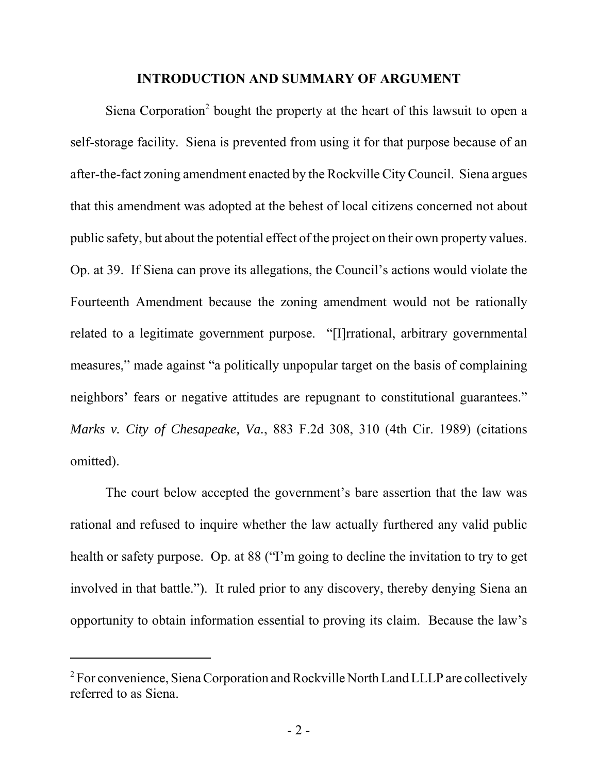#### **INTRODUCTION AND SUMMARY OF ARGUMENT**

Siena Corporation<sup>2</sup> bought the property at the heart of this lawsuit to open a self-storage facility. Siena is prevented from using it for that purpose because of an after-the-fact zoning amendment enacted by the Rockville City Council. Siena argues that this amendment was adopted at the behest of local citizens concerned not about public safety, but about the potential effect of the project on their own property values. Op. at 39. If Siena can prove its allegations, the Council's actions would violate the Fourteenth Amendment because the zoning amendment would not be rationally related to a legitimate government purpose. "[I]rrational, arbitrary governmental measures," made against "a politically unpopular target on the basis of complaining neighbors' fears or negative attitudes are repugnant to constitutional guarantees." *Marks v. City of Chesapeake, Va.*, 883 F.2d 308, 310 (4th Cir. 1989) (citations omitted).

The court below accepted the government's bare assertion that the law was rational and refused to inquire whether the law actually furthered any valid public health or safety purpose. Op. at 88 ("I'm going to decline the invitation to try to get involved in that battle."). It ruled prior to any discovery, thereby denying Siena an opportunity to obtain information essential to proving its claim. Because the law's

 $2^2$  For convenience, Siena Corporation and Rockville North Land LLLP are collectively referred to as Siena.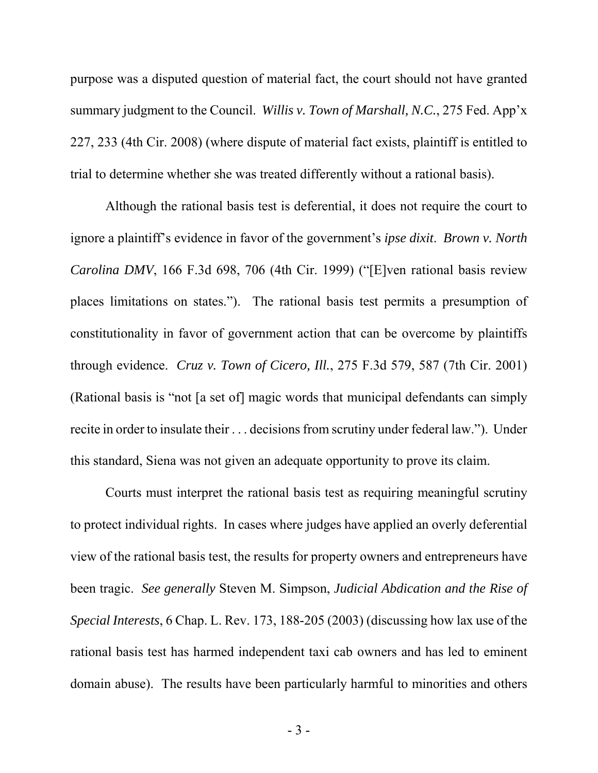purpose was a disputed question of material fact, the court should not have granted summary judgment to the Council. *Willis v. Town of Marshall, N.C.*, 275 Fed. App'x 227, 233 (4th Cir. 2008) (where dispute of material fact exists, plaintiff is entitled to trial to determine whether she was treated differently without a rational basis).

Although the rational basis test is deferential, it does not require the court to ignore a plaintiff's evidence in favor of the government's *ipse dixit*. *Brown v. North Carolina DMV*, 166 F.3d 698, 706 (4th Cir. 1999) ("[E]ven rational basis review places limitations on states."). The rational basis test permits a presumption of constitutionality in favor of government action that can be overcome by plaintiffs through evidence. *Cruz v. Town of Cicero, Ill.*, 275 F.3d 579, 587 (7th Cir. 2001) (Rational basis is "not [a set of] magic words that municipal defendants can simply recite in order to insulate their . . . decisions from scrutiny under federal law."). Under this standard, Siena was not given an adequate opportunity to prove its claim.

Courts must interpret the rational basis test as requiring meaningful scrutiny to protect individual rights. In cases where judges have applied an overly deferential view of the rational basis test, the results for property owners and entrepreneurs have been tragic. *See generally* Steven M. Simpson, *Judicial Abdication and the Rise of Special Interests*, 6 Chap. L. Rev. 173, 188-205 (2003) (discussing how lax use of the rational basis test has harmed independent taxi cab owners and has led to eminent domain abuse). The results have been particularly harmful to minorities and others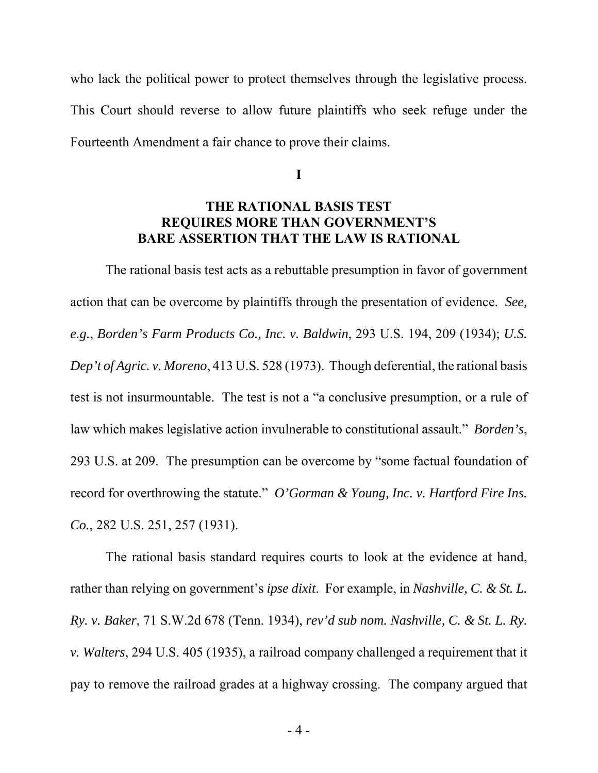who lack the political power to protect themselves through the legislative process. This Court should reverse to allow future plaintiffs who seek refuge under the Fourteenth Amendment a fair chance to prove their claims.

**I**

#### **THE RATIONAL BASIS TEST REQUIRES MORE THAN GOVERNMENT'S BARE ASSERTION THAT THE LAW IS RATIONAL**

The rational basis test acts as a rebuttable presumption in favor of government action that can be overcome by plaintiffs through the presentation of evidence. *See, e.g.*, *Borden's Farm Products Co., Inc. v. Baldwin*, 293 U.S. 194, 209 (1934); *U.S. Dep't of Agric. v. Moreno*, 413 U.S. 528 (1973). Though deferential, the rational basis test is not insurmountable. The test is not a "a conclusive presumption, or a rule of law which makes legislative action invulnerable to constitutional assault." *Borden's*, 293 U.S. at 209. The presumption can be overcome by "some factual foundation of record for overthrowing the statute." *O'Gorman & Young, Inc. v. Hartford Fire Ins. Co.*, 282 U.S. 251, 257 (1931).

The rational basis standard requires courts to look at the evidence at hand, rather than relying on government's *ipse dixit*. For example, in *Nashville, C. & St. L. Ry. v. Baker*, 71 S.W.2d 678 (Tenn. 1934), *rev'd sub nom. Nashville, C. & St. L. Ry. v. Walters*, 294 U.S. 405 (1935), a railroad company challenged a requirement that it pay to remove the railroad grades at a highway crossing. The company argued that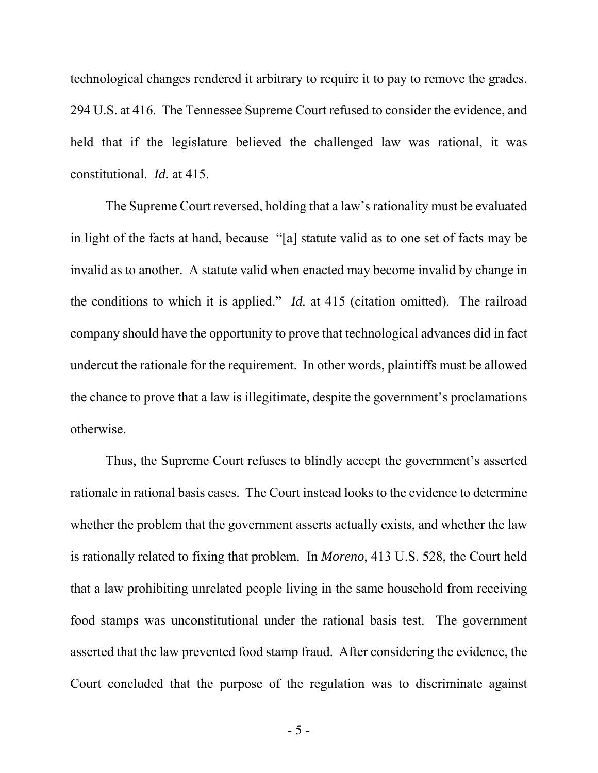technological changes rendered it arbitrary to require it to pay to remove the grades. 294 U.S. at 416. The Tennessee Supreme Court refused to consider the evidence, and held that if the legislature believed the challenged law was rational, it was constitutional. *Id.* at 415.

The Supreme Court reversed, holding that a law's rationality must be evaluated in light of the facts at hand, because "[a] statute valid as to one set of facts may be invalid as to another. A statute valid when enacted may become invalid by change in the conditions to which it is applied." *Id.* at 415 (citation omitted). The railroad company should have the opportunity to prove that technological advances did in fact undercut the rationale for the requirement. In other words, plaintiffs must be allowed the chance to prove that a law is illegitimate, despite the government's proclamations otherwise.

Thus, the Supreme Court refuses to blindly accept the government's asserted rationale in rational basis cases. The Court instead looks to the evidence to determine whether the problem that the government asserts actually exists, and whether the law is rationally related to fixing that problem. In *Moreno*, 413 U.S. 528, the Court held that a law prohibiting unrelated people living in the same household from receiving food stamps was unconstitutional under the rational basis test. The government asserted that the law prevented food stamp fraud. After considering the evidence, the Court concluded that the purpose of the regulation was to discriminate against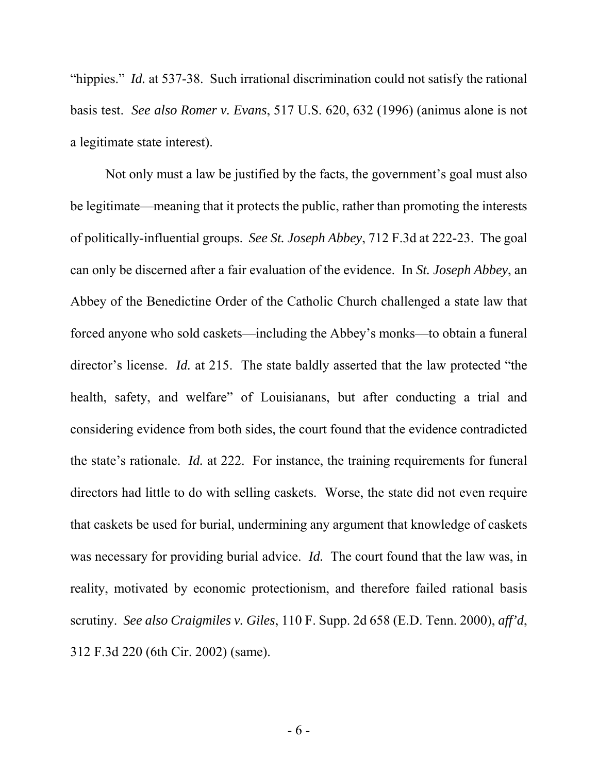"hippies." *Id.* at 537-38. Such irrational discrimination could not satisfy the rational basis test. *See also Romer v. Evans*, 517 U.S. 620, 632 (1996) (animus alone is not a legitimate state interest).

Not only must a law be justified by the facts, the government's goal must also be legitimate—meaning that it protects the public, rather than promoting the interests of politically-influential groups. *See St. Joseph Abbey*, 712 F.3d at 222-23. The goal can only be discerned after a fair evaluation of the evidence. In *St. Joseph Abbey*, an Abbey of the Benedictine Order of the Catholic Church challenged a state law that forced anyone who sold caskets—including the Abbey's monks—to obtain a funeral director's license. *Id.* at 215. The state baldly asserted that the law protected "the health, safety, and welfare" of Louisianans, but after conducting a trial and considering evidence from both sides, the court found that the evidence contradicted the state's rationale. *Id.* at 222. For instance, the training requirements for funeral directors had little to do with selling caskets. Worse, the state did not even require that caskets be used for burial, undermining any argument that knowledge of caskets was necessary for providing burial advice. *Id.* The court found that the law was, in reality, motivated by economic protectionism, and therefore failed rational basis scrutiny. *See also Craigmiles v. Giles*, 110 F. Supp. 2d 658 (E.D. Tenn. 2000), *aff'd*, 312 F.3d 220 (6th Cir. 2002) (same).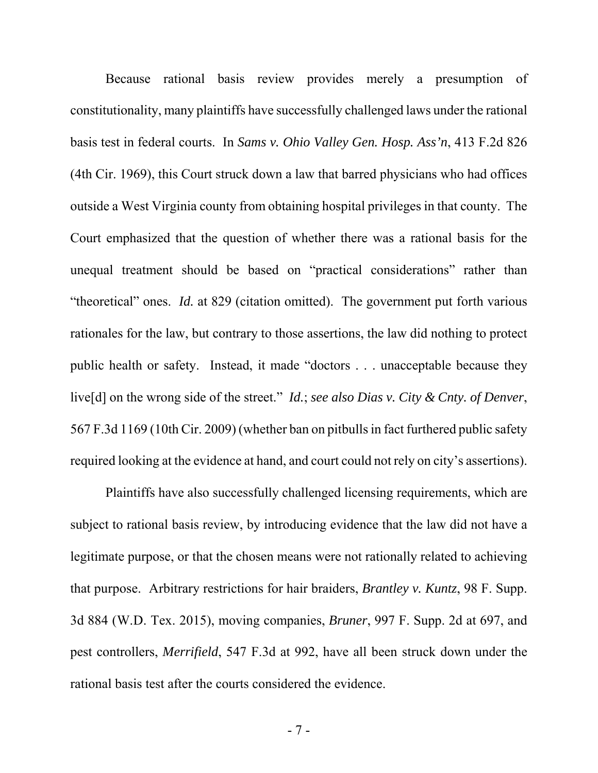Because rational basis review provides merely a presumption of constitutionality, many plaintiffs have successfully challenged laws under the rational basis test in federal courts. In *Sams v. Ohio Valley Gen. Hosp. Ass'n*, 413 F.2d 826 (4th Cir. 1969), this Court struck down a law that barred physicians who had offices outside a West Virginia county from obtaining hospital privileges in that county. The Court emphasized that the question of whether there was a rational basis for the unequal treatment should be based on "practical considerations" rather than "theoretical" ones. *Id.* at 829 (citation omitted). The government put forth various rationales for the law, but contrary to those assertions, the law did nothing to protect public health or safety. Instead, it made "doctors . . . unacceptable because they live[d] on the wrong side of the street." *Id.*; *see also Dias v. City & Cnty. of Denver*, 567 F.3d 1169 (10th Cir. 2009) (whether ban on pitbulls in fact furthered public safety required looking at the evidence at hand, and court could not rely on city's assertions).

Plaintiffs have also successfully challenged licensing requirements, which are subject to rational basis review, by introducing evidence that the law did not have a legitimate purpose, or that the chosen means were not rationally related to achieving that purpose. Arbitrary restrictions for hair braiders, *Brantley v. Kuntz*, 98 F. Supp. 3d 884 (W.D. Tex. 2015), moving companies, *Bruner*, 997 F. Supp. 2d at 697, and pest controllers, *Merrifield*, 547 F.3d at 992, have all been struck down under the rational basis test after the courts considered the evidence.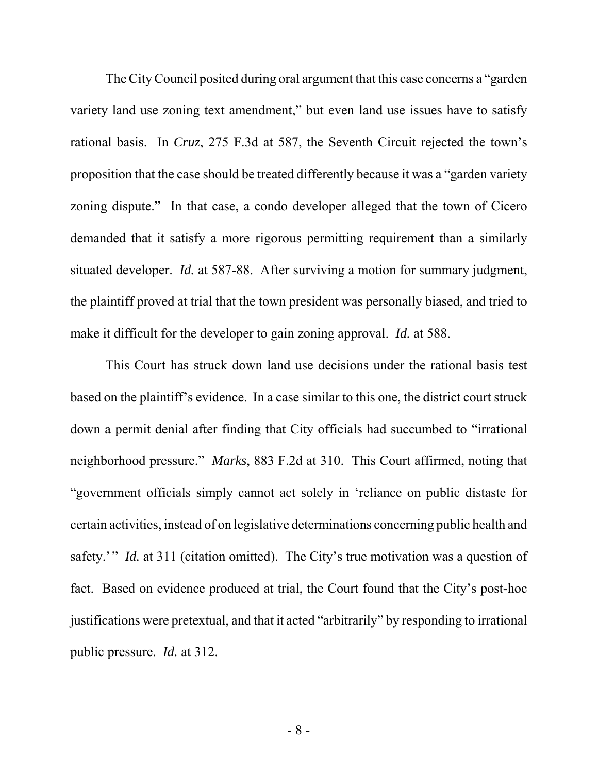The City Council posited during oral argument that this case concerns a "garden variety land use zoning text amendment," but even land use issues have to satisfy rational basis. In *Cruz*, 275 F.3d at 587, the Seventh Circuit rejected the town's proposition that the case should be treated differently because it was a "garden variety zoning dispute." In that case, a condo developer alleged that the town of Cicero demanded that it satisfy a more rigorous permitting requirement than a similarly situated developer. *Id.* at 587-88. After surviving a motion for summary judgment, the plaintiff proved at trial that the town president was personally biased, and tried to make it difficult for the developer to gain zoning approval. *Id.* at 588.

This Court has struck down land use decisions under the rational basis test based on the plaintiff's evidence. In a case similar to this one, the district court struck down a permit denial after finding that City officials had succumbed to "irrational neighborhood pressure." *Marks*, 883 F.2d at 310. This Court affirmed, noting that "government officials simply cannot act solely in 'reliance on public distaste for certain activities, instead of on legislative determinations concerning public health and safety.'" *Id.* at 311 (citation omitted). The City's true motivation was a question of fact. Based on evidence produced at trial, the Court found that the City's post-hoc justifications were pretextual, and that it acted "arbitrarily" by responding to irrational public pressure. *Id.* at 312.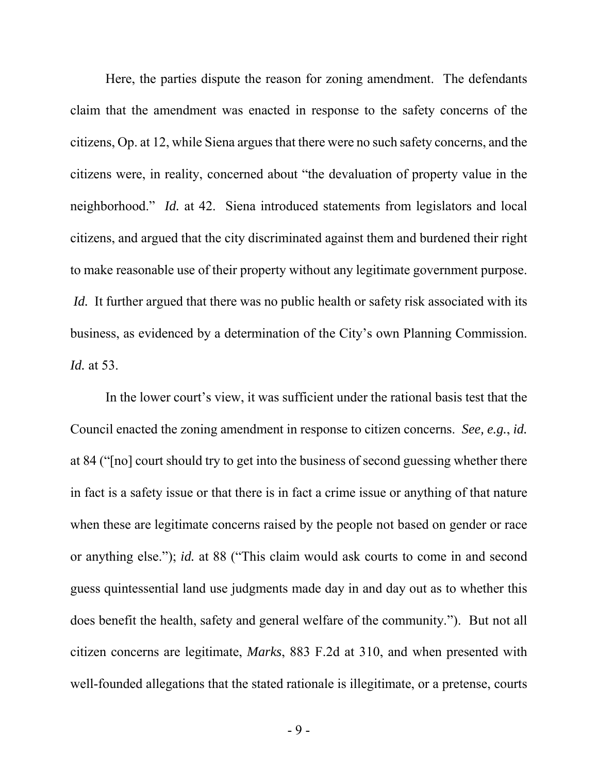Here, the parties dispute the reason for zoning amendment. The defendants claim that the amendment was enacted in response to the safety concerns of the citizens, Op. at 12, while Siena argues that there were no such safety concerns, and the citizens were, in reality, concerned about "the devaluation of property value in the neighborhood." *Id.* at 42. Siena introduced statements from legislators and local citizens, and argued that the city discriminated against them and burdened their right to make reasonable use of their property without any legitimate government purpose. *Id.* It further argued that there was no public health or safety risk associated with its business, as evidenced by a determination of the City's own Planning Commission. *Id.* at 53.

In the lower court's view, it was sufficient under the rational basis test that the Council enacted the zoning amendment in response to citizen concerns. *See, e.g.*, *id.* at 84 ("[no] court should try to get into the business of second guessing whether there in fact is a safety issue or that there is in fact a crime issue or anything of that nature when these are legitimate concerns raised by the people not based on gender or race or anything else."); *id.* at 88 ("This claim would ask courts to come in and second guess quintessential land use judgments made day in and day out as to whether this does benefit the health, safety and general welfare of the community."). But not all citizen concerns are legitimate, *Marks*, 883 F.2d at 310, and when presented with well-founded allegations that the stated rationale is illegitimate, or a pretense, courts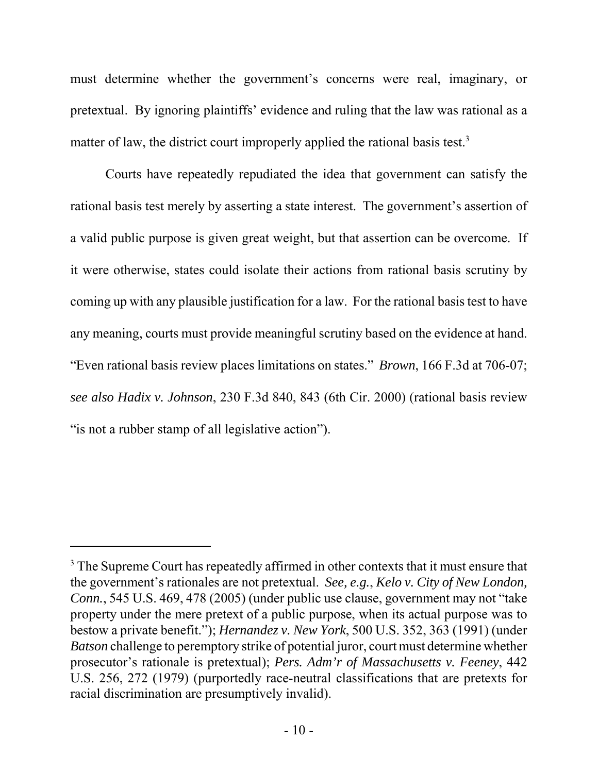must determine whether the government's concerns were real, imaginary, or pretextual. By ignoring plaintiffs' evidence and ruling that the law was rational as a matter of law, the district court improperly applied the rational basis test.<sup>3</sup>

Courts have repeatedly repudiated the idea that government can satisfy the rational basis test merely by asserting a state interest. The government's assertion of a valid public purpose is given great weight, but that assertion can be overcome. If it were otherwise, states could isolate their actions from rational basis scrutiny by coming up with any plausible justification for a law. For the rational basis test to have any meaning, courts must provide meaningful scrutiny based on the evidence at hand. "Even rational basis review places limitations on states." *Brown*, 166 F.3d at 706-07; *see also Hadix v. Johnson*, 230 F.3d 840, 843 (6th Cir. 2000) (rational basis review " is not a rubber stamp of all legislative action").

 $3$  The Supreme Court has repeatedly affirmed in other contexts that it must ensure that the government's rationales are not pretextual. *See, e.g.*, *Kelo v. City of New London, Conn.*, 545 U.S. 469, 478 (2005) (under public use clause, government may not "take property under the mere pretext of a public purpose, when its actual purpose was to bestow a private benefit."); *Hernandez v. New York*, 500 U.S. 352, 363 (1991) (under *Batson* challenge to peremptory strike of potential juror, court must determine whether prosecutor's rationale is pretextual); *Pers. Adm'r of Massachusetts v. Feeney*, 442 U.S. 256, 272 (1979) (purportedly race-neutral classifications that are pretexts for racial discrimination are presumptively invalid).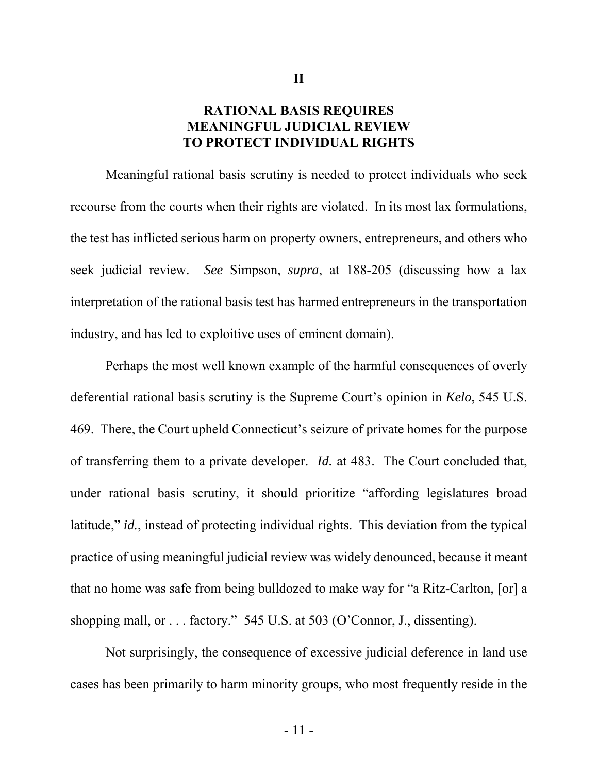#### **RATIONAL BASIS REQUIRES MEANINGFUL JUDICIAL REVIEW TO PROTECT INDIVIDUAL RIGHTS**

**II**

Meaningful rational basis scrutiny is needed to protect individuals who seek recourse from the courts when their rights are violated. In its most lax formulations, the test has inflicted serious harm on property owners, entrepreneurs, and others who seek judicial review. *See* Simpson, *supra*, at 188-205 (discussing how a lax interpretation of the rational basis test has harmed entrepreneurs in the transportation industry, and has led to exploitive uses of eminent domain).

Perhaps the most well known example of the harmful consequences of overly deferential rational basis scrutiny is the Supreme Court's opinion in *Kelo*, 545 U.S. 469. There, the Court upheld Connecticut's seizure of private homes for the purpose of transferring them to a private developer. *Id.* at 483. The Court concluded that, under rational basis scrutiny, it should prioritize "affording legislatures broad latitude," *id.*, instead of protecting individual rights. This deviation from the typical practice of using meaningful judicial review was widely denounced, because it meant that no home was safe from being bulldozed to make way for "a Ritz-Carlton, [or] a shopping mall, or . . . factory." 545 U.S. at 503 (O'Connor, J., dissenting).

Not surprisingly, the consequence of excessive judicial deference in land use cases has been primarily to harm minority groups, who most frequently reside in the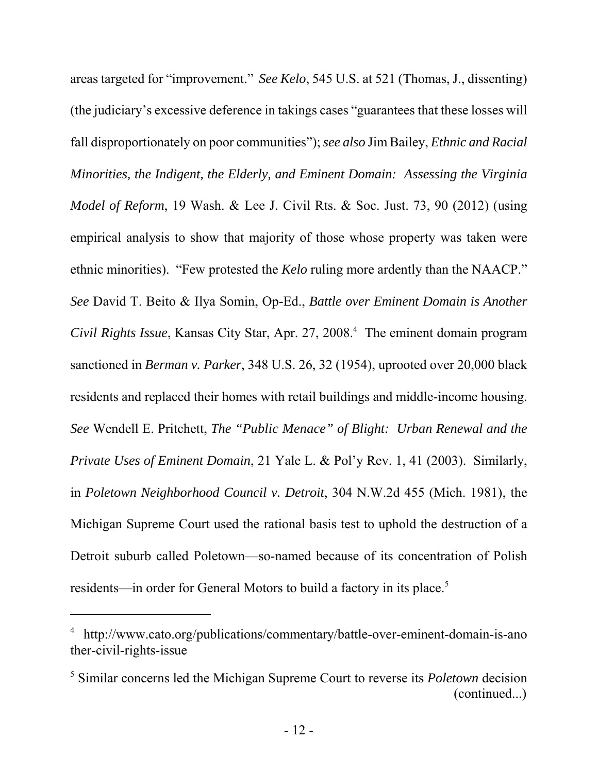areas targeted for "improvement." *See Kelo*, 545 U.S. at 521 (Thomas, J., dissenting) (the judiciary's excessive deference in takings cases "guarantees that these losses will fall disproportionately on poor communities"); *see also* Jim Bailey, *Ethnic and Racial Minorities, the Indigent, the Elderly, and Eminent Domain: Assessing the Virginia Model of Reform*, 19 Wash. & Lee J. Civil Rts. & Soc. Just. 73, 90 (2012) (using empirical analysis to show that majority of those whose property was taken were ethnic minorities). "Few protested the *Kelo* ruling more ardently than the NAACP." *See* David T. Beito & Ilya Somin, Op-Ed., *Battle over Eminent Domain is Another Civil Rights Issue*, Kansas City Star, Apr. 27, 2008.4 The eminent domain program sanctioned in *Berman v. Parker*, 348 U.S. 26, 32 (1954), uprooted over 20,000 black residents and replaced their homes with retail buildings and middle-income housing. *See* Wendell E. Pritchett, *The "Public Menace" of Blight: Urban Renewal and the Private Uses of Eminent Domain*, 21 Yale L. & Pol'y Rev. 1, 41 (2003). Similarly, in *Poletown Neighborhood Council v. Detroit*, 304 N.W.2d 455 (Mich. 1981), the Michigan Supreme Court used the rational basis test to uphold the destruction of a Detroit suburb called Poletown—so-named because of its concentration of Polish residents—in order for General Motors to build a factory in its place.<sup>5</sup>

<sup>4</sup> http://www.cato.org/publications/commentary/battle-over-eminent-domain-is-ano ther-civil-rights-issue

<sup>5</sup> Similar concerns led the Michigan Supreme Court to reverse its *Poletown* decision (continued...)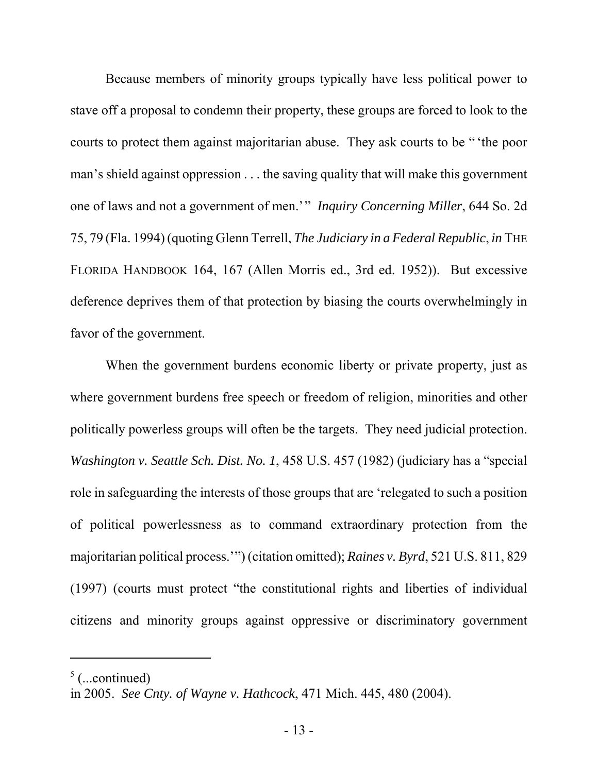Because members of minority groups typically have less political power to stave off a proposal to condemn their property, these groups are forced to look to the courts to protect them against majoritarian abuse. They ask courts to be " 'the poor man's shield against oppression . . . the saving quality that will make this government one of laws and not a government of men.'" *Inquiry Concerning Miller*, 644 So. 2d 75, 79 (Fla. 1994) (quoting Glenn Terrell, *The Judiciary in a Federal Republic*, *in* THE FLORIDA HANDBOOK 164, 167 (Allen Morris ed., 3rd ed. 1952)). But excessive deference deprives them of that protection by biasing the courts overwhelmingly in favor of the government.

When the government burdens economic liberty or private property, just as where government burdens free speech or freedom of religion, minorities and other politically powerless groups will often be the targets. They need judicial protection. *Washington v. Seattle Sch. Dist. No. 1*, 458 U.S. 457 (1982) (judiciary has a "special role in safeguarding the interests of those groups that are 'relegated to such a position of political powerlessness as to command extraordinary protection from the majoritarian political process.'") (citation omitted); *Raines v. Byrd*, 521 U.S. 811, 829 (1997) (courts must protect "the constitutional rights and liberties of individual citizens and minority groups against oppressive or discriminatory government

 $<sup>5</sup>$  (...continued)</sup>

in 2005. *See Cnty. of Wayne v. Hathcock*, 471 Mich. 445, 480 (2004).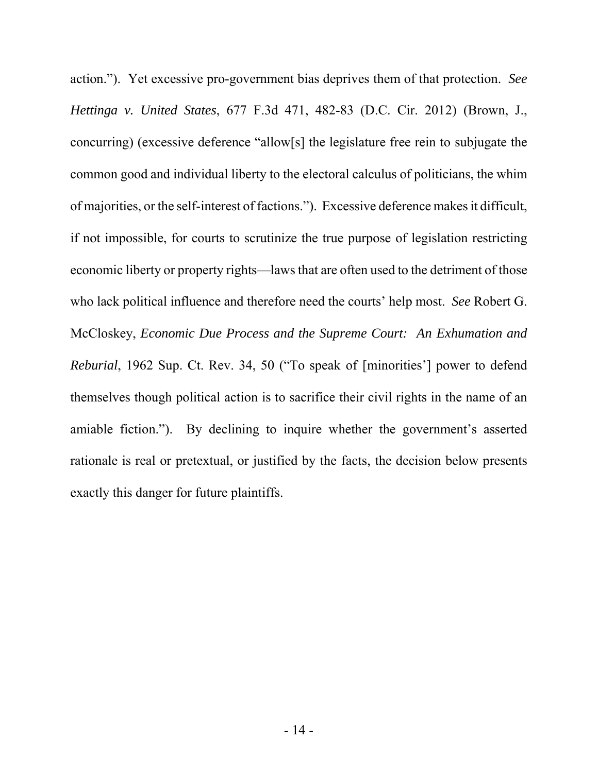action."). Yet excessive pro-government bias deprives them of that protection. *See Hettinga v. United States*, 677 F.3d 471, 482-83 (D.C. Cir. 2012) (Brown, J., concurring) (excessive deference "allow[s] the legislature free rein to subjugate the common good and individual liberty to the electoral calculus of politicians, the whim of majorities, or the self-interest of factions."). Excessive deference makes it difficult, if not impossible, for courts to scrutinize the true purpose of legislation restricting economic liberty or property rights—laws that are often used to the detriment of those who lack political influence and therefore need the courts' help most. *See* Robert G. McCloskey, *Economic Due Process and the Supreme Court: An Exhumation and Reburial*, 1962 Sup. Ct. Rev. 34, 50 ("To speak of [minorities'] power to defend themselves though political action is to sacrifice their civil rights in the name of an amiable fiction."). By declining to inquire whether the government's asserted rationale is real or pretextual, or justified by the facts, the decision below presents exactly this danger for future plaintiffs.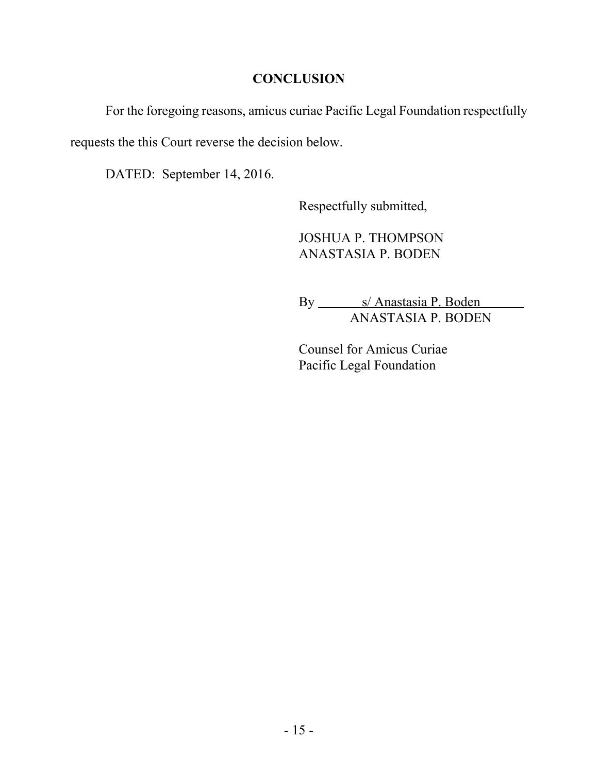#### **CONCLUSION**

For the foregoing reasons, amicus curiae Pacific Legal Foundation respectfully

requests the this Court reverse the decision below.

DATED: September 14, 2016.

Respectfully submitted,

JOSHUA P. THOMPSON ANASTASIA P. BODEN

By \_\_\_\_\_\_\_\_ s/ Anastasia P. Boden  $\overline{\phantom{a}}$ ANASTASIA P. BODEN

Counsel for Amicus Curiae Pacific Legal Foundation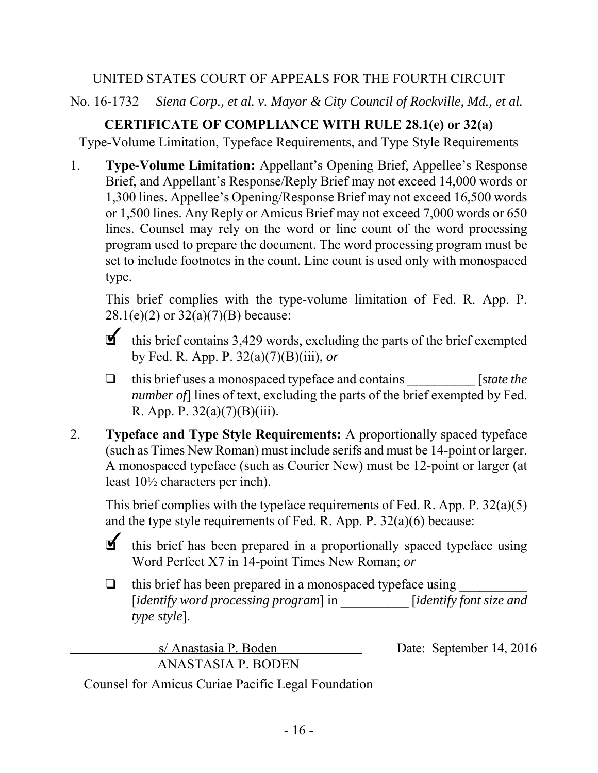### UNITED STATES COURT OF APPEALS FOR THE FOURTH CIRCUIT

No. 16-1732 *Siena Corp., et al. v. Mayor & City Council of Rockville, Md., et al.*

## **CERTIFICATE OF COMPLIANCE WITH RULE 28.1(e) or 32(a)**

Type-Volume Limitation, Typeface Requirements, and Type Style Requirements

1. **Type-Volume Limitation:** Appellant's Opening Brief, Appellee's Response Brief, and Appellant's Response/Reply Brief may not exceed 14,000 words or 1,300 lines. Appellee's Opening/Response Brief may not exceed 16,500 words or 1,500 lines. Any Reply or Amicus Brief may not exceed 7,000 words or 650 lines. Counsel may rely on the word or line count of the word processing program used to prepare the document. The word processing program must be set to include footnotes in the count. Line count is used only with monospaced type.

This brief complies with the type-volume limitation of Fed. R. App. P.  $28.1(e)(2)$  or  $32(a)(7)(B)$  because:

- $\blacksquare$  this brief contains 3,429 words, excluding the parts of the brief exempted by Fed. R. App. P. 32(a)(7)(B)(iii), *or*
- $\Box$  this brief uses a monospaced typeface and contains [*state the*] *number of* lines of text, excluding the parts of the brief exempted by Fed. R. App. P.  $32(a)(7)(B)(iii)$ .
- 2. **Typeface and Type Style Requirements:** A proportionally spaced typeface (such as Times New Roman) must include serifs and must be 14-point or larger. A monospaced typeface (such as Courier New) must be 12-point or larger (at least 10½ characters per inch).

This brief complies with the typeface requirements of Fed. R. App. P. 32(a)(5) and the type style requirements of Fed. R. App. P. 32(a)(6) because:

**1** this brief has been prepared in a proportionally spaced typeface using Word Perfect X7 in 14-point Times New Roman; *or*

 $\Box$  this brief has been prepared in a monospaced typeface using [*identify word processing program*] in \_\_\_\_\_\_\_\_\_\_ [*identify font size and type style*].

> s/ Anastasia P. Boden Date: September 14, 2016 ANASTASIA P. BODEN

Counsel for Amicus Curiae Pacific Legal Foundation